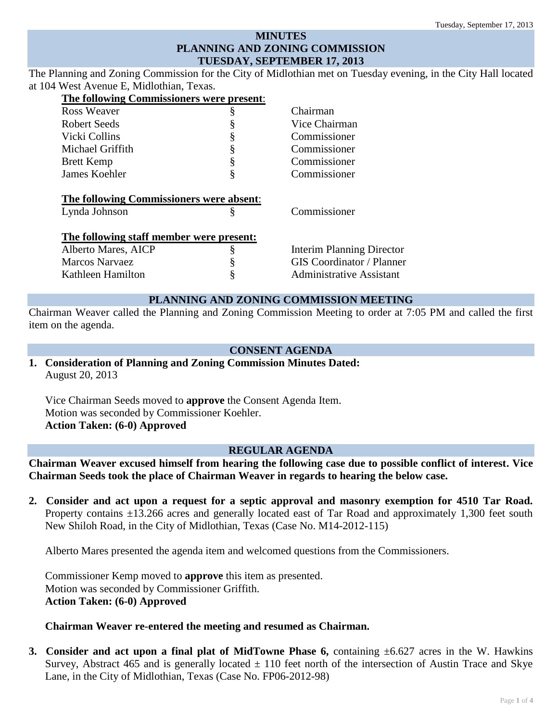# **MINUTES PLANNING AND ZONING COMMISSION TUESDAY, SEPTEMBER 17, 2013**

The Planning and Zoning Commission for the City of Midlothian met on Tuesday evening, in the City Hall located at 104 West Avenue E, Midlothian, Texas.

| The following Commissioners were present: |   |                                  |
|-------------------------------------------|---|----------------------------------|
| <b>Ross Weaver</b>                        | § | Chairman                         |
| Robert Seeds                              | § | Vice Chairman                    |
| Vicki Collins                             | ş | Commissioner                     |
| Michael Griffith                          | ş | Commissioner                     |
| <b>Brett Kemp</b>                         | ş | Commissioner                     |
| James Koehler                             | ş | Commissioner                     |
|                                           |   |                                  |
| The following Commissioners were absent:  |   |                                  |
| Lynda Johnson                             | § | Commissioner                     |
|                                           |   |                                  |
| The following staff member were present:  |   |                                  |
| Alberto Mares, AICP                       | § | <b>Interim Planning Director</b> |
| <b>Marcos Narvaez</b>                     |   | <b>GIS</b> Coordinator / Planner |
| Kathleen Hamilton                         | ş | <b>Administrative Assistant</b>  |

## **PLANNING AND ZONING COMMISSION MEETING**

Chairman Weaver called the Planning and Zoning Commission Meeting to order at 7:05 PM and called the first item on the agenda.

## **CONSENT AGENDA**

**1. Consideration of Planning and Zoning Commission Minutes Dated:**  August 20, 2013

Vice Chairman Seeds moved to **approve** the Consent Agenda Item. Motion was seconded by Commissioner Koehler. **Action Taken: (6-0) Approved**

## **REGULAR AGENDA**

**Chairman Weaver excused himself from hearing the following case due to possible conflict of interest. Vice Chairman Seeds took the place of Chairman Weaver in regards to hearing the below case.**

**2. Consider and act upon a request for a septic approval and masonry exemption for 4510 Tar Road.** Property contains  $\pm 13.266$  acres and generally located east of Tar Road and approximately 1,300 feet south New Shiloh Road, in the City of Midlothian, Texas (Case No. M14-2012-115)

Alberto Mares presented the agenda item and welcomed questions from the Commissioners.

Commissioner Kemp moved to **approve** this item as presented. Motion was seconded by Commissioner Griffith. **Action Taken: (6-0) Approved**

#### **Chairman Weaver re-entered the meeting and resumed as Chairman.**

**3. Consider and act upon a final plat of MidTowne Phase 6,** containing ±6.627 acres in the W. Hawkins Survey, Abstract 465 and is generally located  $\pm$  110 feet north of the intersection of Austin Trace and Skye Lane, in the City of Midlothian, Texas (Case No. FP06-2012-98)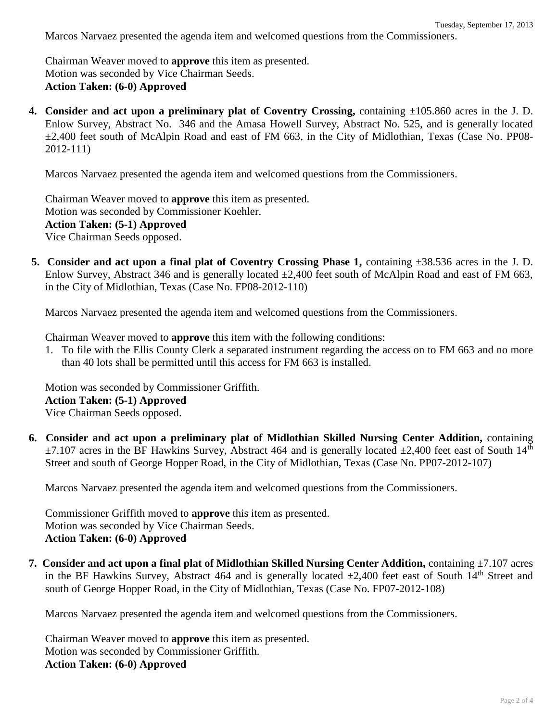Marcos Narvaez presented the agenda item and welcomed questions from the Commissioners.

Chairman Weaver moved to **approve** this item as presented. Motion was seconded by Vice Chairman Seeds. **Action Taken: (6-0) Approved**

**4. Consider and act upon a preliminary plat of Coventry Crossing,** containing ±105.860 acres in the J. D. Enlow Survey, Abstract No. 346 and the Amasa Howell Survey, Abstract No. 525, and is generally located ±2,400 feet south of McAlpin Road and east of FM 663, in the City of Midlothian, Texas (Case No. PP08- 2012-111)

Marcos Narvaez presented the agenda item and welcomed questions from the Commissioners.

Chairman Weaver moved to **approve** this item as presented. Motion was seconded by Commissioner Koehler. **Action Taken: (5-1) Approved** Vice Chairman Seeds opposed.

**5. Consider and act upon a final plat of Coventry Crossing Phase 1,** containing ±38.536 acres in the J. D. Enlow Survey, Abstract 346 and is generally located  $\pm 2,400$  feet south of McAlpin Road and east of FM 663, in the City of Midlothian, Texas (Case No. FP08-2012-110)

Marcos Narvaez presented the agenda item and welcomed questions from the Commissioners.

Chairman Weaver moved to **approve** this item with the following conditions:

1. To file with the Ellis County Clerk a separated instrument regarding the access on to FM 663 and no more than 40 lots shall be permitted until this access for FM 663 is installed.

Motion was seconded by Commissioner Griffith. **Action Taken: (5-1) Approved** Vice Chairman Seeds opposed.

**6. Consider and act upon a preliminary plat of Midlothian Skilled Nursing Center Addition,** containing  $\pm$ 7.107 acres in the BF Hawkins Survey, Abstract 464 and is generally located  $\pm$ 2,400 feet east of South 14<sup>th</sup> Street and south of George Hopper Road, in the City of Midlothian, Texas (Case No. PP07-2012-107)

Marcos Narvaez presented the agenda item and welcomed questions from the Commissioners.

Commissioner Griffith moved to **approve** this item as presented. Motion was seconded by Vice Chairman Seeds. **Action Taken: (6-0) Approved**

**7. Consider and act upon a final plat of Midlothian Skilled Nursing Center Addition,** containing ±7.107 acres in the BF Hawkins Survey, Abstract 464 and is generally located  $\pm 2,400$  feet east of South 14<sup>th</sup> Street and south of George Hopper Road, in the City of Midlothian, Texas (Case No. FP07-2012-108)

Marcos Narvaez presented the agenda item and welcomed questions from the Commissioners.

Chairman Weaver moved to **approve** this item as presented. Motion was seconded by Commissioner Griffith. **Action Taken: (6-0) Approved**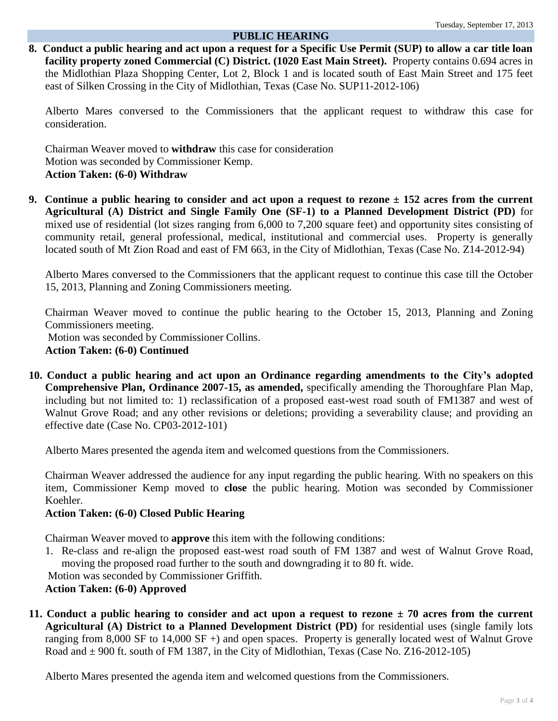#### **PUBLIC HEARING**

**8. Conduct a public hearing and act upon a request for a Specific Use Permit (SUP) to allow a car title loan facility property zoned Commercial (C) District. (1020 East Main Street).** Property contains 0.694 acres in the Midlothian Plaza Shopping Center, Lot 2, Block 1 and is located south of East Main Street and 175 feet east of Silken Crossing in the City of Midlothian, Texas (Case No. SUP11-2012-106)

Alberto Mares conversed to the Commissioners that the applicant request to withdraw this case for consideration.

Chairman Weaver moved to **withdraw** this case for consideration Motion was seconded by Commissioner Kemp. **Action Taken: (6-0) Withdraw**

**9. Continue a public hearing to consider and act upon a request to rezone ± 152 acres from the current Agricultural (A) District and Single Family One (SF-1) to a Planned Development District (PD)** for mixed use of residential (lot sizes ranging from 6,000 to 7,200 square feet) and opportunity sites consisting of community retail, general professional, medical, institutional and commercial uses. Property is generally located south of Mt Zion Road and east of FM 663, in the City of Midlothian, Texas (Case No. Z14-2012-94)

Alberto Mares conversed to the Commissioners that the applicant request to continue this case till the October 15, 2013, Planning and Zoning Commissioners meeting.

Chairman Weaver moved to continue the public hearing to the October 15, 2013, Planning and Zoning Commissioners meeting.

Motion was seconded by Commissioner Collins.

**Action Taken: (6-0) Continued**

**10. Conduct a public hearing and act upon an Ordinance regarding amendments to the City's adopted Comprehensive Plan, Ordinance 2007-15, as amended,** specifically amending the Thoroughfare Plan Map, including but not limited to: 1) reclassification of a proposed east-west road south of FM1387 and west of Walnut Grove Road; and any other revisions or deletions; providing a severability clause; and providing an effective date (Case No. CP03-2012-101)

Alberto Mares presented the agenda item and welcomed questions from the Commissioners.

Chairman Weaver addressed the audience for any input regarding the public hearing. With no speakers on this item, Commissioner Kemp moved to **close** the public hearing. Motion was seconded by Commissioner Koehler.

#### **Action Taken: (6-0) Closed Public Hearing**

Chairman Weaver moved to **approve** this item with the following conditions:

1. Re-class and re-align the proposed east-west road south of FM 1387 and west of Walnut Grove Road, moving the proposed road further to the south and downgrading it to 80 ft. wide.

Motion was seconded by Commissioner Griffith.

### **Action Taken: (6-0) Approved**

**11. Conduct a public hearing to consider and act upon a request to rezone ± 70 acres from the current Agricultural (A) District to a Planned Development District (PD)** for residential uses (single family lots ranging from 8,000 SF to 14,000 SF +) and open spaces. Property is generally located west of Walnut Grove Road and  $\pm$  900 ft. south of FM 1387, in the City of Midlothian, Texas (Case No. Z16-2012-105)

Alberto Mares presented the agenda item and welcomed questions from the Commissioners.